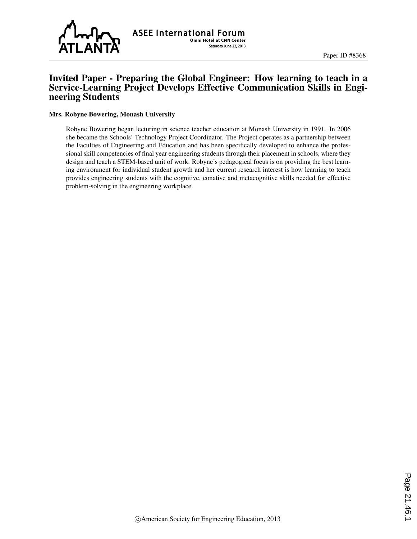

# Invited Paper - Preparing the Global Engineer: How learning to teach in a Service-Learning Project Develops Effective Communication Skills in Engineering Students

#### Mrs. Robyne Bowering, Monash University

Robyne Bowering began lecturing in science teacher education at Monash University in 1991. In 2006 she became the Schools' Technology Project Coordinator. The Project operates as a partnership between the Faculties of Engineering and Education and has been specifically developed to enhance the professional skill competencies of final year engineering students through their placement in schools, where they design and teach a STEM-based unit of work. Robyne's pedagogical focus is on providing the best learning environment for individual student growth and her current research interest is how learning to teach provides engineering students with the cognitive, conative and metacognitive skills needed for effective problem-solving in the engineering workplace.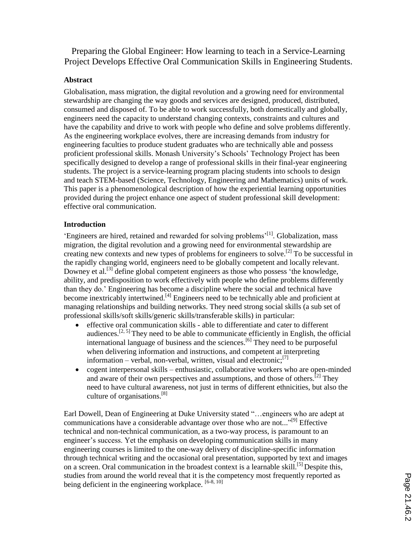Preparing the Global Engineer: How learning to teach in a Service-Learning Project Develops Effective Oral Communication Skills in Engineering Students.

## **Abstract**

Globalisation, mass migration, the digital revolution and a growing need for environmental stewardship are changing the way goods and services are designed, produced, distributed, consumed and disposed of. To be able to work successfully, both domestically and globally, engineers need the capacity to understand changing contexts, constraints and cultures and have the capability and drive to work with people who define and solve problems differently. As the engineering workplace evolves, there are increasing demands from industry for engineering faculties to produce student graduates who are technically able and possess proficient professional skills. Monash University's Schools' Technology Project has been specifically designed to develop a range of professional skills in their final-year engineering students. The project is a service-learning program placing students into schools to design and teach STEM-based (Science, Technology, Engineering and Mathematics) units of work. This paper is a phenomenological description of how the experiential learning opportunities provided during the project enhance one aspect of student professional skill development: effective oral communication.

## **Introduction**

'Engineers are hired, retained and rewarded for solving problems'<sup>[1]</sup>. Globalization, mass migration, the digital revolution and a growing need for environmental stewardship are creating new contexts and new types of problems for engineers to solve.<sup>[2]</sup> To be successful in the rapidly changing world, engineers need to be globally competent and locally relevant. Downey et al.<sup>[3]</sup> define global competent engineers as those who possess 'the knowledge, ability, and predisposition to work effectively with people who define problems differently than they do.' Engineering has become a discipline where the social and technical have become inextricably intertwined.<sup>[4]</sup> Engineers need to be technically able and proficient at managing relationships and building networks. They need strong social skills (a sub set of professional skills/soft skills/generic skills/transferable skills) in particular:

- effective oral communication skills able to differentiate and cater to different audiences.<sup>[2, 5]</sup> They need to be able to communicate efficiently in English, the official international language of business and the sciences. [6] They need to be purposeful when delivering information and instructions, and competent at interpreting information – verbal, non-verbal, written, visual and electronic; $^{[7]}$
- cogent interpersonal skills enthusiastic, collaborative workers who are open-minded and aware of their own perspectives and assumptions, and those of others.<sup>[2]</sup> They need to have cultural awareness, not just in terms of different ethnicities, but also the culture of organisations.<sup>[8]</sup>

Earl Dowell, Dean of Engineering at Duke University stated "…engineers who are adept at communications have a considerable advantage over those who are not..."<sup>[9]</sup> Effective technical and non-technical communication, as a two-way process, is paramount to an engineer's success. Yet the emphasis on developing communication skills in many engineering courses is limited to the one-way delivery of discipline-specific information through technical writing and the occasional oral presentation, supported by text and images on a screen. Oral communication in the broadest context is a learnable skill.<sup>[5]</sup> Despite this, studies from around the world reveal that it is the competency most frequently reported as being deficient in the engineering workplace.  $[6-8, 10]$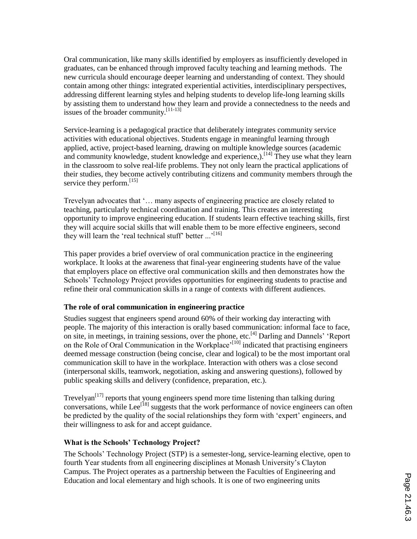Oral communication, like many skills identified by employers as insufficiently developed in graduates, can be enhanced through improved faculty teaching and learning methods. The new curricula should encourage deeper learning and understanding of context. They should contain among other things: integrated experiential activities, interdisciplinary perspectives, addressing different learning styles and helping students to develop life-long learning skills by assisting them to understand how they learn and provide a connectedness to the needs and issues of the broader community.[11-13]

Service-learning is a pedagogical practice that deliberately integrates community service activities with educational objectives. Students engage in meaningful learning through applied, active, project-based learning, drawing on multiple knowledge sources (academic and community knowledge, student knowledge and experience,).<sup>[14]</sup> They use what they learn in the classroom to solve real-life problems. They not only learn the practical applications of their studies, they become actively contributing citizens and community members through the service they perform.<sup>[15]</sup>

Trevelyan advocates that '… many aspects of engineering practice are closely related to teaching, particularly technical coordination and training. This creates an interesting opportunity to improve engineering education. If students learn effective teaching skills, first they will acquire social skills that will enable them to be more effective engineers, second they will learn the 'real technical stuff' better ...'<sup>[16]</sup>

This paper provides a brief overview of oral communication practice in the engineering workplace. It looks at the awareness that final-year engineering students have of the value that employers place on effective oral communication skills and then demonstrates how the Schools' Technology Project provides opportunities for engineering students to practise and refine their oral communication skills in a range of contexts with different audiences.

## **The role of oral communication in engineering practice**

Studies suggest that engineers spend around 60% of their working day interacting with people. The majority of this interaction is orally based communication: informal face to face, on site, in meetings, in training sessions, over the phone, etc.<sup>[4]</sup> Darling and Dannels' 'Report on the Role of Oral Communication in the Workplace<sup>,[10]</sup> indicated that practising engineers deemed message construction (being concise, clear and logical) to be the most important oral communication skill to have in the workplace. Interaction with others was a close second (interpersonal skills, teamwork, negotiation, asking and answering questions), followed by public speaking skills and delivery (confidence, preparation, etc.).

Trevelyan<sup>[17]</sup> reports that young engineers spend more time listening than talking during conversations, while Lee<sup>[18]</sup> suggests that the work performance of novice engineers can often be predicted by the quality of the social relationships they form with 'expert' engineers, and their willingness to ask for and accept guidance.

### **What is the Schools' Technology Project?**

The Schools' Technology Project (STP) is a semester-long, service-learning elective, open to fourth Year students from all engineering disciplines at Monash University's Clayton Campus. The Project operates as a partnership between the Faculties of Engineering and Education and local elementary and high schools. It is one of two engineering units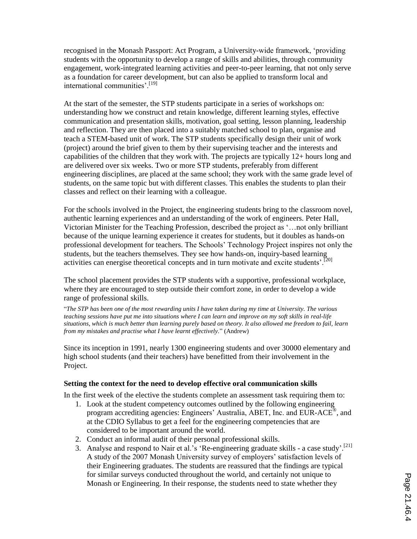recognised in the Monash Passport: Act Program, a University-wide framework, 'providing students with the opportunity to develop a range of skills and abilities, through community engagement, work-integrated learning activities and peer-to-peer learning, that not only serve as a foundation for career development, but can also be applied to transform local and international communities'.<sup>[19]</sup>

At the start of the semester, the STP students participate in a series of workshops on: understanding how we construct and retain knowledge, different learning styles, effective communication and presentation skills, motivation, goal setting, lesson planning, leadership and reflection. They are then placed into a suitably matched school to plan, organise and teach a STEM-based unit of work. The STP students specifically design their unit of work (project) around the brief given to them by their supervising teacher and the interests and capabilities of the children that they work with. The projects are typically 12+ hours long and are delivered over six weeks. Two or more STP students, preferably from different engineering disciplines, are placed at the same school; they work with the same grade level of students, on the same topic but with different classes. This enables the students to plan their classes and reflect on their learning with a colleague.

For the schools involved in the Project, the engineering students bring to the classroom novel, authentic learning experiences and an understanding of the work of engineers. Peter Hall, Victorian Minister for the Teaching Profession, described the project as '…not only brilliant because of the unique learning experience it creates for students, but it doubles as hands-on professional development for teachers. The Schools' Technology Project inspires not only the students, but the teachers themselves. They see how hands-on, inquiry-based learning activities can energise theoretical concepts and in turn motivate and excite students'.<sup>[20]</sup>

The school placement provides the STP students with a supportive, professional workplace, where they are encouraged to step outside their comfort zone, in order to develop a wide range of professional skills.

"*The STP has been one of the most rewarding units I have taken during my time at University. The various teaching sessions have put me into situations where I can learn and improve on my soft skills in real-life situations, which is much better than learning purely based on theory. It also allowed me freedom to fail, learn from my mistakes and practise what I have learnt effectively.*" (Andrew)

Since its inception in 1991, nearly 1300 engineering students and over 30000 elementary and high school students (and their teachers) have benefitted from their involvement in the Project.

### **Setting the context for the need to develop effective oral communication skills**

In the first week of the elective the students complete an assessment task requiring them to:

- 1. Look at the student competency outcomes outlined by the following engineering program accrediting agencies: Engineers' Australia, ABET, Inc. and EUR-ACE®, and at the CDIO Syllabus to get a feel for the engineering competencies that are considered to be important around the world.
- 2. Conduct an informal audit of their personal professional skills.
- 3. Analyse and respond to Nair et al.'s 'Re-engineering graduate skills a case study'.<sup>[21]</sup> A study of the 2007 Monash University survey of employers' satisfaction levels of their Engineering graduates. The students are reassured that the findings are typical for similar surveys conducted throughout the world, and certainly not unique to Monash or Engineering. In their response, the students need to state whether they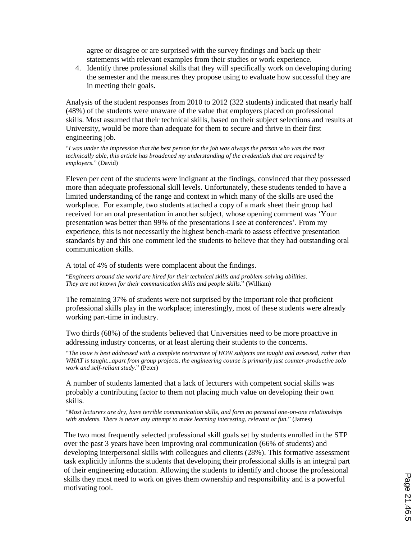agree or disagree or are surprised with the survey findings and back up their statements with relevant examples from their studies or work experience.

4. Identify three professional skills that they will specifically work on developing during the semester and the measures they propose using to evaluate how successful they are in meeting their goals.

Analysis of the student responses from 2010 to 2012 (322 students) indicated that nearly half (48%) of the students were unaware of the value that employers placed on professional skills. Most assumed that their technical skills, based on their subject selections and results at University, would be more than adequate for them to secure and thrive in their first engineering job.

"*I was under the impression that the best person for the job was always the person who was the most technically able, this article has broadened my understanding of the credentials that are required by employers*." (David)

Eleven per cent of the students were indignant at the findings, convinced that they possessed more than adequate professional skill levels. Unfortunately, these students tended to have a limited understanding of the range and context in which many of the skills are used the workplace. For example, two students attached a copy of a mark sheet their group had received for an oral presentation in another subject, whose opening comment was 'Your presentation was better than 99% of the presentations I see at conferences'. From my experience, this is not necessarily the highest bench-mark to assess effective presentation standards by and this one comment led the students to believe that they had outstanding oral communication skills.

A total of 4% of students were complacent about the findings.

"*Engineers around the world are hired for their technical skills and problem-solving abilities. They are not known for their communication skills and people skills.*" (William)

The remaining 37% of students were not surprised by the important role that proficient professional skills play in the workplace; interestingly, most of these students were already working part-time in industry.

Two thirds (68%) of the students believed that Universities need to be more proactive in addressing industry concerns, or at least alerting their students to the concerns.

"*The issue is best addressed with a complete restructure of HOW subjects are taught and assessed, rather than WHAT is taught...apart from group projects, the engineering course is primarily just counter-productive solo work and self-reliant study.*" (Peter)

A number of students lamented that a lack of lecturers with competent social skills was probably a contributing factor to them not placing much value on developing their own skills.

"*Most lecturers are dry, have terrible communication skills, and form no personal one-on-one relationships with students. There is never any attempt to make learning interesting, relevant or fun.*" (James)

The two most frequently selected professional skill goals set by students enrolled in the STP over the past 3 years have been improving oral communication (66% of students) and developing interpersonal skills with colleagues and clients (28%). This formative assessment task explicitly informs the students that developing their professional skills is an integral part of their engineering education. Allowing the students to identify and choose the professional skills they most need to work on gives them ownership and responsibility and is a powerful motivating tool.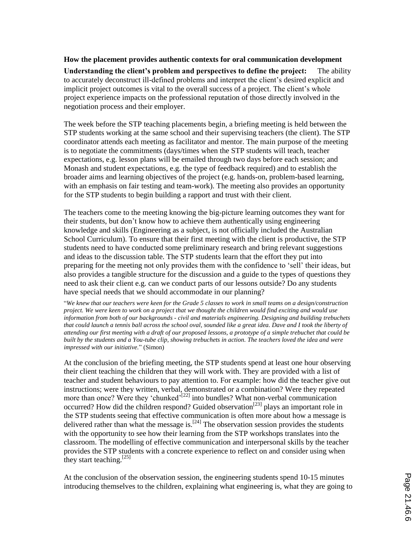### **How the placement provides authentic contexts for oral communication development**

**Understanding the client's problem and perspectives to define the project:** The ability to accurately deconstruct ill-defined problems and interpret the client's desired explicit and implicit project outcomes is vital to the overall success of a project. The client's whole project experience impacts on the professional reputation of those directly involved in the negotiation process and their employer.

The week before the STP teaching placements begin, a briefing meeting is held between the STP students working at the same school and their supervising teachers (the client). The STP coordinator attends each meeting as facilitator and mentor. The main purpose of the meeting is to negotiate the commitments (days/times when the STP students will teach, teacher expectations, e.g. lesson plans will be emailed through two days before each session; and Monash and student expectations, e.g. the type of feedback required) and to establish the broader aims and learning objectives of the project (e.g. hands-on, problem-based learning, with an emphasis on fair testing and team-work). The meeting also provides an opportunity for the STP students to begin building a rapport and trust with their client.

The teachers come to the meeting knowing the big-picture learning outcomes they want for their students, but don't know how to achieve them authentically using engineering knowledge and skills (Engineering as a subject, is not officially included the Australian School Curriculum). To ensure that their first meeting with the client is productive, the STP students need to have conducted some preliminary research and bring relevant suggestions and ideas to the discussion table. The STP students learn that the effort they put into preparing for the meeting not only provides them with the confidence to 'sell' their ideas, but also provides a tangible structure for the discussion and a guide to the types of questions they need to ask their client e.g. can we conduct parts of our lessons outside? Do any students have special needs that we should accommodate in our planning?

"*We knew that our teachers were keen for the Grade 5 classes to work in small teams on a design/construction project. We were keen to work on a project that we thought the children would find exciting and would use information from both of our backgrounds - civil and materials engineering. Designing and building trebuchets that could launch a tennis ball across the school oval, sounded like a great idea. Dave and I took the liberty of attending our first meeting with a draft of our proposed lessons, a prototype of a simple trebuchet that could be built by the students and a You-tube clip, showing trebuchets in action. The teachers loved the idea and were impressed with our initiative.*" (Simon)

At the conclusion of the briefing meeting, the STP students spend at least one hour observing their client teaching the children that they will work with. They are provided with a list of teacher and student behaviours to pay attention to. For example: how did the teacher give out instructions; were they written, verbal, demonstrated or a combination? Were they repeated more than once? Were they 'chunked'<sup>[22]</sup> into bundles? What non-verbal communication occurred? How did the children respond? Guided observation<sup>[23]</sup> plays an important role in the STP students seeing that effective communication is often more about how a message is delivered rather than what the message is.<sup>[24]</sup> The observation session provides the students with the opportunity to see how their learning from the STP workshops translates into the classroom. The modelling of effective communication and interpersonal skills by the teacher provides the STP students with a concrete experience to reflect on and consider using when they start teaching.<sup>[25]</sup>

At the conclusion of the observation session, the engineering students spend 10-15 minutes introducing themselves to the children, explaining what engineering is, what they are going to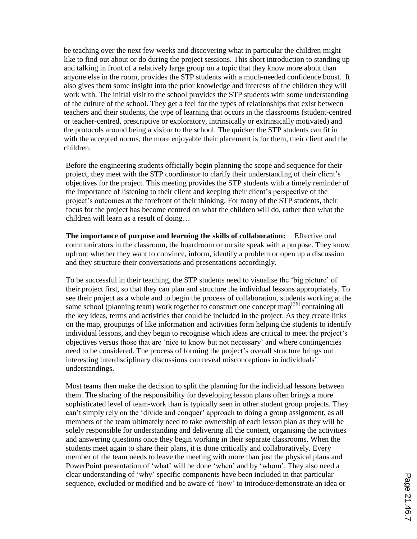be teaching over the next few weeks and discovering what in particular the children might like to find out about or do during the project sessions. This short introduction to standing up and talking in front of a relatively large group on a topic that they know more about than anyone else in the room, provides the STP students with a much-needed confidence boost. It also gives them some insight into the prior knowledge and interests of the children they will work with. The initial visit to the school provides the STP students with some understanding of the culture of the school. They get a feel for the types of relationships that exist between teachers and their students, the type of learning that occurs in the classrooms (student-centred or teacher-centred, prescriptive or exploratory, intrinsically or extrinsically motivated) and the protocols around being a visitor to the school. The quicker the STP students can fit in with the accepted norms, the more enjoyable their placement is for them, their client and the children.

Before the engineering students officially begin planning the scope and sequence for their project, they meet with the STP coordinator to clarify their understanding of their client's objectives for the project. This meeting provides the STP students with a timely reminder of the importance of listening to their client and keeping their client's perspective of the project's outcomes at the forefront of their thinking. For many of the STP students, their focus for the project has become centred on what the children will do, rather than what the children will learn as a result of doing…

**The importance of purpose and learning the skills of collaboration:** Effective oral communicators in the classroom, the boardroom or on site speak with a purpose. They know upfront whether they want to convince, inform, identify a problem or open up a discussion and they structure their conversations and presentations accordingly.

To be successful in their teaching, the STP students need to visualise the 'big picture' of their project first, so that they can plan and structure the individual lessons appropriately. To see their project as a whole and to begin the process of collaboration, students working at the same school (planning team) work together to construct one concept map $^{[26]}$  containing all the key ideas, terms and activities that could be included in the project. As they create links on the map, groupings of like information and activities form helping the students to identify individual lessons, and they begin to recognise which ideas are critical to meet the project's objectives versus those that are 'nice to know but not necessary' and where contingencies need to be considered. The process of forming the project's overall structure brings out interesting interdisciplinary discussions can reveal misconceptions in individuals' understandings.

Most teams then make the decision to split the planning for the individual lessons between them. The sharing of the responsibility for developing lesson plans often brings a more sophisticated level of team-work than is typically seen in other student group projects. They can't simply rely on the 'divide and conquer' approach to doing a group assignment, as all members of the team ultimately need to take ownership of each lesson plan as they will be solely responsible for understanding and delivering all the content, organising the activities and answering questions once they begin working in their separate classrooms. When the students meet again to share their plans, it is done critically and collaboratively. Every member of the team needs to leave the meeting with more than just the physical plans and PowerPoint presentation of 'what' will be done 'when' and by 'whom'. They also need a clear understanding of 'why' specific components have been included in that particular sequence, excluded or modified and be aware of 'how' to introduce/demonstrate an idea or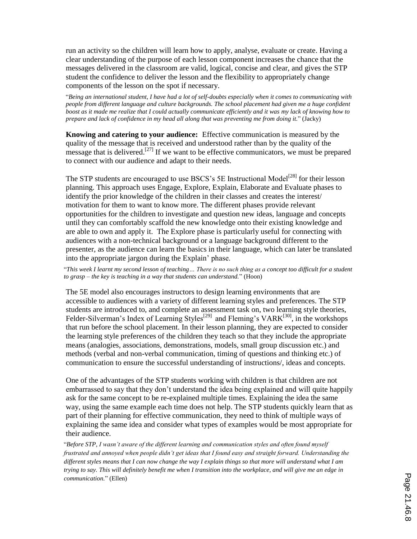run an activity so the children will learn how to apply, analyse, evaluate or create. Having a clear understanding of the purpose of each lesson component increases the chance that the messages delivered in the classroom are valid, logical, concise and clear, and gives the STP student the confidence to deliver the lesson and the flexibility to appropriately change components of the lesson on the spot if necessary.

"*Being an international student, I have had a lot of self-doubts especially when it comes to communicating with people from different language and culture backgrounds. The school placement had given me a huge confident boost as it made me realize that I could actually communicate efficiently and it was my lack of knowing how to prepare and lack of confidence in my head all along that was preventing me from doing it.*" (Jacky)

**Knowing and catering to your audience:** Effective communication is measured by the quality of the message that is received and understood rather than by the quality of the  $\frac{1}{2}$  message that is delivered.<sup>[27]</sup> If we want to be effective communicators, we must be prepared to connect with our audience and adapt to their needs.

The STP students are encouraged to use BSCS's 5E Instructional Model<sup>[28]</sup> for their lesson planning. This approach uses Engage, Explore, Explain, Elaborate and Evaluate phases to identify the prior knowledge of the children in their classes and creates the interest/ motivation for them to want to know more. The different phases provide relevant opportunities for the children to investigate and question new ideas, language and concepts until they can comfortably scaffold the new knowledge onto their existing knowledge and are able to own and apply it. The Explore phase is particularly useful for connecting with audiences with a non-technical background or a language background different to the presenter, as the audience can learn the basics in their language, which can later be translated into the appropriate jargon during the Explain' phase.

"*This week I learnt my second lesson of teaching… There is no such thing as a concept too difficult for a student to grasp – the key is teaching in a way that students can understand.*" (Hoon)

The 5E model also encourages instructors to design learning environments that are accessible to audiences with a variety of different learning styles and preferences. The STP students are introduced to, and complete an assessment task on, two learning style theories, Felder-Silverman's Index of Learning Styles<sup>[29]</sup> and Fleming's VARK<sup>[30]</sup>, in the workshops that run before the school placement. In their lesson planning, they are expected to consider the learning style preferences of the children they teach so that they include the appropriate means (analogies, associations, demonstrations, models, small group discussion etc.) and methods (verbal and non-verbal communication, timing of questions and thinking etc.) of communication to ensure the successful understanding of instructions/, ideas and concepts.

One of the advantages of the STP students working with children is that children are not embarrassed to say that they don't understand the idea being explained and will quite happily ask for the same concept to be re-explained multiple times. Explaining the idea the same way, using the same example each time does not help. The STP students quickly learn that as part of their planning for effective communication, they need to think of multiple ways of explaining the same idea and consider what types of examples would be most appropriate for their audience.

"*Before STP, I wasn't aware of the different learning and communication styles and often found myself frustrated and annoyed when people didn't get ideas that I found easy and straight forward. Understanding the different styles means that I can now change the way I explain things so that more will understand what I am trying to say. This will definitely benefit me when I transition into the workplace, and will give me an edge in communication.*" (Ellen)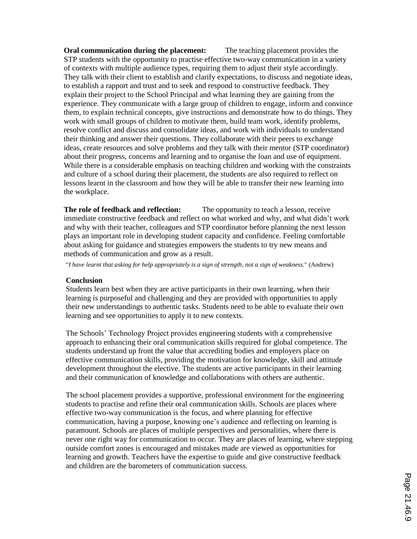**Oral communication during the placement:** The teaching placement provides the STP students with the opportunity to practise effective two-way communication in a variety of contexts with multiple audience types, requiring them to adjust their style accordingly. They talk with their client to establish and clarify expectations, to discuss and negotiate ideas, to establish a rapport and trust and to seek and respond to constructive feedback. They explain their project to the School Principal and what learning they are gaining from the experience. They communicate with a large group of children to engage, inform and convince them, to explain technical concepts, give instructions and demonstrate how to do things. They work with small groups of children to motivate them, build team work, identify problems, resolve conflict and discuss and consolidate ideas, and work with individuals to understand their thinking and answer their questions. They collaborate with their peers to exchange ideas, create resources and solve problems and they talk with their mentor (STP coordinator) about their progress, concerns and learning and to organise the loan and use of equipment. While there is a considerable emphasis on teaching children and working with the constraints and culture of a school during their placement, the students are also required to reflect on lessons learnt in the classroom and how they will be able to transfer their new learning into the workplace.

**The role of feedback and reflection:** The opportunity to teach a lesson, receive immediate constructive feedback and reflect on what worked and why, and what didn't work and why with their teacher, colleagues and STP coordinator before planning the next lesson plays an important role in developing student capacity and confidence. Feeling comfortable about asking for guidance and strategies empowers the students to try new means and methods of communication and grow as a result.

"*I have learnt that asking for help appropriately is a sign of strength, not a sign of weakness.*" (Andrew)

#### **Conclusion**

Students learn best when they are active participants in their own learning, when their learning is purposeful and challenging and they are provided with opportunities to apply their new understandings to authentic tasks. Students need to be able to evaluate their own learning and see opportunities to apply it to new contexts.

The Schools' Technology Project provides engineering students with a comprehensive approach to enhancing their oral communication skills required for global competence. The students understand up front the value that accrediting bodies and employers place on effective communication skills, providing the motivation for knowledge, skill and attitude development throughout the elective. The students are active participants in their learning and their communication of knowledge and collaborations with others are authentic.

The school placement provides a supportive, professional environment for the engineering students to practise and refine their oral communication skills. Schools are places where effective two-way communication is the focus, and where planning for effective communication, having a purpose, knowing one's audience and reflecting on learning is paramount. Schools are places of multiple perspectives and personalities, where there is never one right way for communication to occur. They are places of learning, where stepping outside comfort zones is encouraged and mistakes made are viewed as opportunities for learning and growth. Teachers have the expertise to guide and give constructive feedback and children are the barometers of communication success.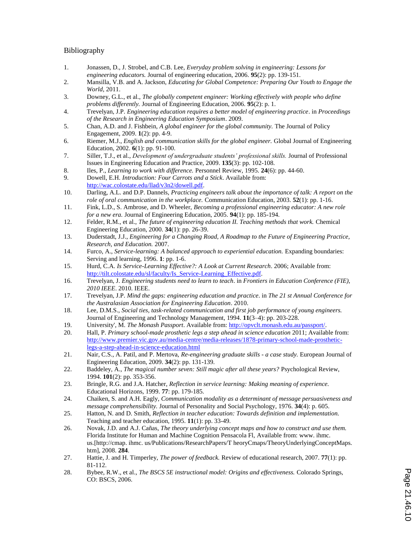### Bibliography

- 1. Jonassen, D., J. Strobel, and C.B. Lee, *Everyday problem solving in engineering: Lessons for engineering educators.* Journal of engineering education, 2006. **95**(2): pp. 139-151.
- 2. Mansilla, V.B. and A. Jackson, *Educating for Global Competence: Preparing Our Youth to Engage the World*, 2011.
- 3. Downey, G.L., et al., *The globally competent engineer: Working effectively with people who define problems differently.* Journal of Engineering Education, 2006. **95**(2): p. 1.
- 4. Trevelyan, J.P. *Engineering education requires a better model of engineering practice*. in *Proceedings of the Research in Engineering Education Symposium*. 2009.
- 5. Chan, A.D. and J. Fishbein, *A global engineer for the global community.* The Journal of Policy Engagement, 2009. **1**(2): pp. 4-9.
- 6. Riemer, M.J., *English and communication skills for the global engineer.* Global Journal of Engineering Education, 2002. **6**(1): pp. 91-100.
- 7. Siller, T.J., et al., *Development of undergraduate students' professional skills.* Journal of Professional Issues in Engineering Education and Practice, 2009. **135**(3): pp. 102-108.
- 8. Iles, P., *Learning to work with difference.* Personnel Review, 1995. **24**(6): pp. 44-60.
- 9. Dowell, E.H. *Introduction: Four Carrots and a Stick*. Available from: http://wac.colostate.edu/llad/v3n2/dowell.pdf.
- 10. Darling, A.L. and D.P. Dannels, *Practicing engineers talk about the importance of talk: A report on the role of oral communication in the workplace.* Communication Education, 2003. **52**(1): pp. 1-16.
- 11. Fink, L.D., S. Ambrose, and D. Wheeler, *Becoming a professional engineering educator: A new role for a new era.* Journal of Engineering Education, 2005. **94**(1): pp. 185-194.
- 12. Felder, R.M., et al., *The future of engineering education II. Teaching methods that work.* Chemical Engineering Education, 2000. **34**(1): pp. 26-39.
- 13. Duderstadt, J.J., *Engineering for a Changing Road, A Roadmap to the Future of Engineering Practice, Research, and Education.* 2007.
- 14. Furco, A., *Service-learning: A balanced approach to experiential education.* Expanding boundaries: Serving and learning, 1996. **1**: pp. 1-6.
- 15. Hurd, C.A. *Is Service-Learning Effective?: A Look at Current Research*. 2006; Available from: http://tilt.colostate.edu/sl/faculty/Is\_Service-Learning\_Effective.pdf.
- 16. Trevelyan, J. *Engineering students need to learn to teach*. in *Frontiers in Education Conference (FIE), 2010 IEEE*. 2010. IEEE.
- 17. Trevelyan, J.P. *Mind the gaps: engineering education and practice*. in *The 21 st Annual Conference for the Australasian Association for Engineering Education*. 2010.
- 18. Lee, D.M.S., *Social ties, task-related communication and first job performance of young engineers.* Journal of Engineering and Technology Management, 1994. **11**(3–4): pp. 203-228.
- 19. University', M. *The Monash Passport*. Available from: http://opvclt.monash.edu.au/passport/.
- 20. Hall, P. *Primary school-made prosthetic legs a step ahead in science education* 2011; Available from: http://www.premier.vic.gov.au/media-centre/media-releases/1878-primary-school-made-prostheticlegs-a-step-ahead-in-science-education.html
- 21. Nair, C.S., A. Patil, and P. Mertova, *Re-engineering graduate skills - a case study.* European Journal of Engineering Education, 2009. **34**(2): pp. 131-139.
- 22. Baddeley, A., *The magical number seven: Still magic after all these years?* Psychological Review, 1994. **101**(2): pp. 353-356.
- 23. Bringle, R.G. and J.A. Hatcher, *Reflection in service learning: Making meaning of experience.* Educational Horizons, 1999. **77**: pp. 179-185.
- 24. Chaiken, S. and A.H. Eagly, *Communication modality as a determinant of message persuasiveness and message comprehensibility.* Journal of Personality and Social Psychology, 1976. **34**(4): p. 605.
- 25. Hatton, N. and D. Smith, *Reflection in teacher education: Towards definition and implementation.* Teaching and teacher education, 1995. **11**(1): pp. 33-49.
- 26. Novak, J.D. and A.J. Cañas, *The theory underlying concept maps and how to construct and use them.* Florida Institute for Human and Machine Cognition Pensacola Fl, Available from: www. ihmc. us.[http://cmap. ihmc. us/Publications/ResearchPapers/T heoryCmaps/TheoryUnderlyingConceptMaps. htm], 2008. **284**.
- 27. Hattie, J. and H. Timperley, *The power of feedback.* Review of educational research, 2007. **77**(1): pp. 81-112.
- 28. Bybee, R.W., et al., *The BSCS 5E instructional model: Origins and effectiveness.* Colorado Springs, CO: BSCS, 2006.